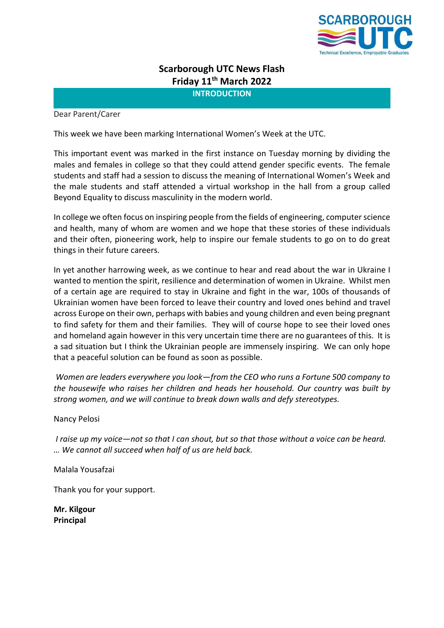

# Scarborough UTC News Flash Friday 11th March 2022

**INTRODUCTION** 

#### Dear Parent/Carer

This week we have been marking International Women's Week at the UTC.

This important event was marked in the first instance on Tuesday morning by dividing the males and females in college so that they could attend gender specific events. The female students and staff had a session to discuss the meaning of International Women's Week and the male students and staff attended a virtual workshop in the hall from a group called Beyond Equality to discuss masculinity in the modern world.

In college we often focus on inspiring people from the fields of engineering, computer science and health, many of whom are women and we hope that these stories of these individuals and their often, pioneering work, help to inspire our female students to go on to do great things in their future careers.

In yet another harrowing week, as we continue to hear and read about the war in Ukraine I wanted to mention the spirit, resilience and determination of women in Ukraine. Whilst men of a certain age are required to stay in Ukraine and fight in the war, 100s of thousands of Ukrainian women have been forced to leave their country and loved ones behind and travel across Europe on their own, perhaps with babies and young children and even being pregnant to find safety for them and their families. They will of course hope to see their loved ones and homeland again however in this very uncertain time there are no guarantees of this. It is a sad situation but I think the Ukrainian people are immensely inspiring. We can only hope that a peaceful solution can be found as soon as possible.

Women are leaders everywhere you look—from the CEO who runs a Fortune 500 company to the housewife who raises her children and heads her household. Our country was built by strong women, and we will continue to break down walls and defy stereotypes.

#### Nancy Pelosi

I raise up my voice—not so that I can shout, but so that those without a voice can be heard. … We cannot all succeed when half of us are held back.

Malala Yousafzai

Thank you for your support.

Mr. Kilgour Principal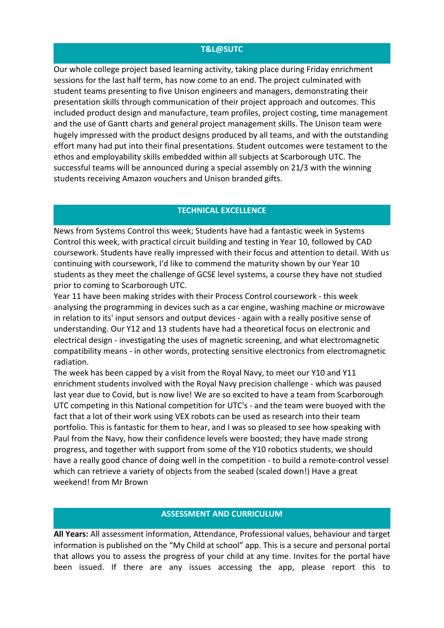#### T&L@SUTC

Our whole college project based learning activity, taking place during Friday enrichment sessions for the last half term, has now come to an end. The project culminated with student teams presenting to five Unison engineers and managers, demonstrating their presentation skills through communication of their project approach and outcomes. This included product design and manufacture, team profiles, project costing, time management and the use of Gantt charts and general project management skills. The Unison team were hugely impressed with the product designs produced by all teams, and with the outstanding effort many had put into their final presentations. Student outcomes were testament to the ethos and employability skills embedded within all subjects at Scarborough UTC. The successful teams will be announced during a special assembly on 21/3 with the winning students receiving Amazon vouchers and Unison branded gifts.

## TECHNICAL EXCELLENCE

News from Systems Control this week; Students have had a fantastic week in Systems Control this week, with practical circuit building and testing in Year 10, followed by CAD coursework. Students have really impressed with their focus and attention to detail. With us continuing with coursework, I'd like to commend the maturity shown by our Year 10 students as they meet the challenge of GCSE level systems, a course they have not studied prior to coming to Scarborough UTC.

Year 11 have been making strides with their Process Control coursework - this week analysing the programming in devices such as a car engine, washing machine or microwave in relation to its' input sensors and output devices - again with a really positive sense of understanding. Our Y12 and 13 students have had a theoretical focus on electronic and electrical design - investigating the uses of magnetic screening, and what electromagnetic compatibility means - in other words, protecting sensitive electronics from electromagnetic radiation.

The week has been capped by a visit from the Royal Navy, to meet our Y10 and Y11 enrichment students involved with the Royal Navy precision challenge - which was paused last year due to Covid, but is now live! We are so excited to have a team from Scarborough UTC competing in this National competition for UTC's - and the team were buoyed with the fact that a lot of their work using VEX robots can be used as research into their team portfolio. This is fantastic for them to hear, and I was so pleased to see how speaking with Paul from the Navy, how their confidence levels were boosted; they have made strong progress, and together with support from some of the Y10 robotics students, we should have a really good chance of doing well in the competition - to build a remote-control vessel which can retrieve a variety of objects from the seabed (scaled down!) Have a great weekend! from Mr Brown

#### ASSESSMENT AND CURRICULUM

All Years: All assessment information, Attendance, Professional values, behaviour and target information is published on the "My Child at school" app. This is a secure and personal portal that allows you to assess the progress of your child at any time. Invites for the portal have been issued. If there are any issues accessing the app, please report this to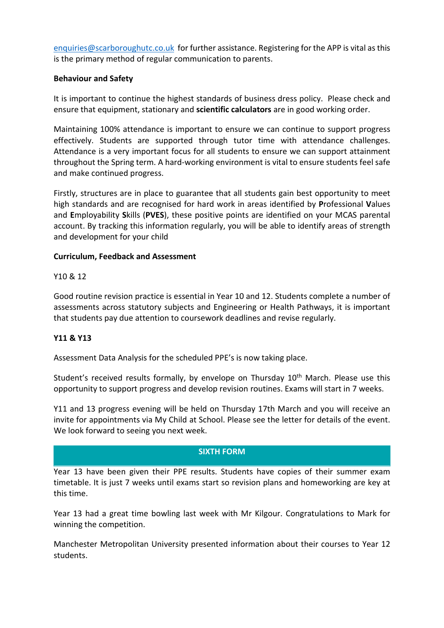enquiries@scarboroughutc.co.uk for further assistance. Registering for the APP is vital as this is the primary method of regular communication to parents.

# Behaviour and Safety

It is important to continue the highest standards of business dress policy. Please check and ensure that equipment, stationary and scientific calculators are in good working order.

Maintaining 100% attendance is important to ensure we can continue to support progress effectively. Students are supported through tutor time with attendance challenges. Attendance is a very important focus for all students to ensure we can support attainment throughout the Spring term. A hard-working environment is vital to ensure students feel safe and make continued progress.

Firstly, structures are in place to guarantee that all students gain best opportunity to meet high standards and are recognised for hard work in areas identified by Professional Values and Employability Skills (PVES), these positive points are identified on your MCAS parental account. By tracking this information regularly, you will be able to identify areas of strength and development for your child

## Curriculum, Feedback and Assessment

## Y10 & 12

Good routine revision practice is essential in Year 10 and 12. Students complete a number of assessments across statutory subjects and Engineering or Health Pathways, it is important that students pay due attention to coursework deadlines and revise regularly.

#### Y11 & Y13

Assessment Data Analysis for the scheduled PPE's is now taking place.

Student's received results formally, by envelope on Thursday 10<sup>th</sup> March. Please use this opportunity to support progress and develop revision routines. Exams will start in 7 weeks.

Y11 and 13 progress evening will be held on Thursday 17th March and you will receive an invite for appointments via My Child at School. Please see the letter for details of the event. We look forward to seeing you next week.

#### SIXTH FORM

Year 13 have been given their PPE results. Students have copies of their summer exam timetable. It is just 7 weeks until exams start so revision plans and homeworking are key at this time.

Year 13 had a great time bowling last week with Mr Kilgour. Congratulations to Mark for winning the competition.

Manchester Metropolitan University presented information about their courses to Year 12 students.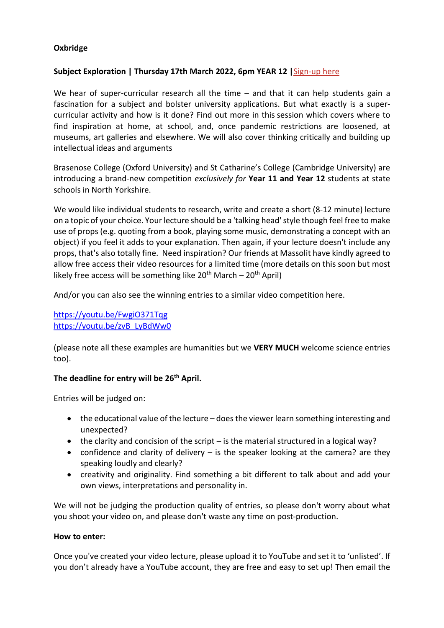# Oxbridge

# Subject Exploration | Thursday 17th March 2022, 6pm YEAR 12 | Sign-up here

We hear of super-curricular research all the time – and that it can help students gain a fascination for a subject and bolster university applications. But what exactly is a supercurricular activity and how is it done? Find out more in this session which covers where to find inspiration at home, at school, and, once pandemic restrictions are loosened, at museums, art galleries and elsewhere. We will also cover thinking critically and building up intellectual ideas and arguments

Brasenose College (Oxford University) and St Catharine's College (Cambridge University) are introducing a brand-new competition exclusively for Year 11 and Year 12 students at state schools in North Yorkshire.

We would like individual students to research, write and create a short (8-12 minute) lecture on a topic of your choice. Your lecture should be a 'talking head' style though feel free to make use of props (e.g. quoting from a book, playing some music, demonstrating a concept with an object) if you feel it adds to your explanation. Then again, if your lecture doesn't include any props, that's also totally fine. Need inspiration? Our friends at Massolit have kindly agreed to allow free access their video resources for a limited time (more details on this soon but most likely free access will be something like  $20<sup>th</sup>$  March –  $20<sup>th</sup>$  April)

And/or you can also see the winning entries to a similar video competition here.

https://youtu.be/FwgiO371Tqg https://youtu.be/zvB\_LyBdWw0

(please note all these examples are humanities but we VERY MUCH welcome science entries too).

# The deadline for entry will be 26<sup>th</sup> April.

Entries will be judged on:

- the educational value of the lecture does the viewer learn something interesting and unexpected?
- $\bullet$  the clarity and concision of the script is the material structured in a logical way?
- confidence and clarity of delivery  $-$  is the speaker looking at the camera? are they speaking loudly and clearly?
- creativity and originality. Find something a bit different to talk about and add your own views, interpretations and personality in.

We will not be judging the production quality of entries, so please don't worry about what you shoot your video on, and please don't waste any time on post-production.

#### How to enter:

Once you've created your video lecture, please upload it to YouTube and set it to 'unlisted'. If you don't already have a YouTube account, they are free and easy to set up! Then email the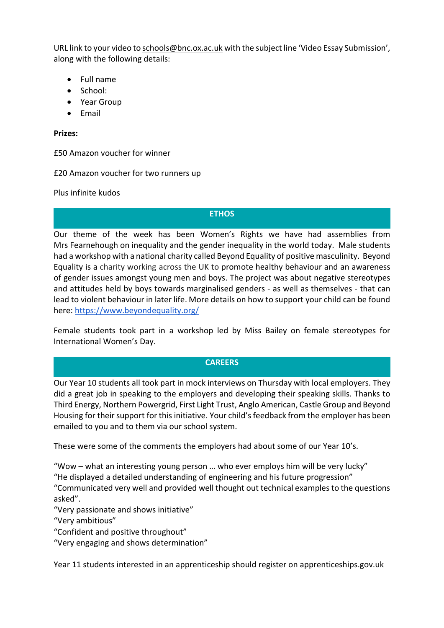URL link to your video to schools@bnc.ox.ac.uk with the subject line 'Video Essay Submission', along with the following details:

- Full name
- School:
- Year Group
- $\bullet$  Fmail

## Prizes:

£50 Amazon voucher for winner

£20 Amazon voucher for two runners up

Plus infinite kudos

## **ETHOS**

Our theme of the week has been Women's Rights we have had assemblies from Mrs Fearnehough on inequality and the gender inequality in the world today. Male students had a workshop with a national charity called Beyond Equality of positive masculinity. Beyond Equality is a charity working across the UK to promote healthy behaviour and an awareness of gender issues amongst young men and boys. The project was about negative stereotypes and attitudes held by boys towards marginalised genders - as well as themselves - that can lead to violent behaviour in later life. More details on how to support your child can be found here: https://www.beyondequality.org/

Female students took part in a workshop led by Miss Bailey on female stereotypes for International Women's Day.

# CAREERS

Our Year 10 students all took part in mock interviews on Thursday with local employers. They did a great job in speaking to the employers and developing their speaking skills. Thanks to Third Energy, Northern Powergrid, First Light Trust, Anglo American, Castle Group and Beyond Housing for their support for this initiative. Your child's feedback from the employer has been emailed to you and to them via our school system.

These were some of the comments the employers had about some of our Year 10's.

"Wow – what an interesting young person … who ever employs him will be very lucky" "He displayed a detailed understanding of engineering and his future progression" "Communicated very well and provided well thought out technical examples to the questions asked".

"Very passionate and shows initiative"

"Very ambitious"

"Confident and positive throughout"

"Very engaging and shows determination"

Year 11 students interested in an apprenticeship should register on apprenticeships.gov.uk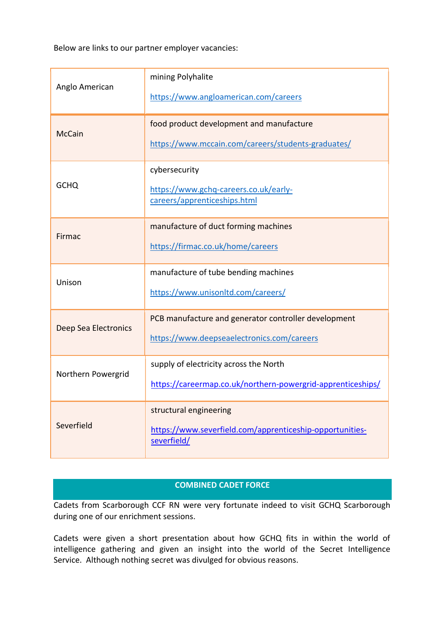Below are links to our partner employer vacancies:

| Anglo American              | mining Polyhalite<br>https://www.angloamerican.com/careers                                            |  |
|-----------------------------|-------------------------------------------------------------------------------------------------------|--|
| McCain                      | food product development and manufacture<br>https://www.mccain.com/careers/students-graduates/        |  |
| <b>GCHQ</b>                 | cybersecurity<br>https://www.gchq-careers.co.uk/early-<br>careers/apprenticeships.html                |  |
| Firmac                      | manufacture of duct forming machines<br>https://firmac.co.uk/home/careers                             |  |
| Unison                      | manufacture of tube bending machines<br>https://www.unisonItd.com/careers/                            |  |
| <b>Deep Sea Electronics</b> | PCB manufacture and generator controller development<br>https://www.deepseaelectronics.com/careers    |  |
| Northern Powergrid          | supply of electricity across the North<br>https://careermap.co.uk/northern-powergrid-apprenticeships/ |  |
| Severfield                  | structural engineering<br>https://www.severfield.com/apprenticeship-opportunities-<br>severfield/     |  |

# COMBINED CADET FORCE

Cadets from Scarborough CCF RN were very fortunate indeed to visit GCHQ Scarborough during one of our enrichment sessions.

Cadets were given a short presentation about how GCHQ fits in within the world of intelligence gathering and given an insight into the world of the Secret Intelligence Service. Although nothing secret was divulged for obvious reasons.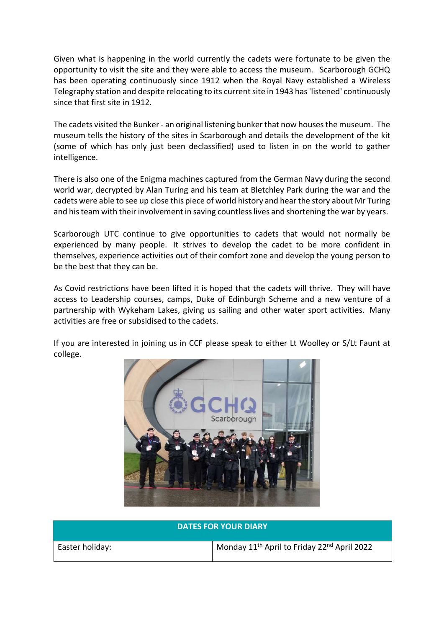Given what is happening in the world currently the cadets were fortunate to be given the opportunity to visit the site and they were able to access the museum. Scarborough GCHQ has been operating continuously since 1912 when the Royal Navy established a Wireless Telegraphy station and despite relocating to its current site in 1943 has 'listened' continuously since that first site in 1912.

The cadets visited the Bunker - an original listening bunker that now houses the museum. The museum tells the history of the sites in Scarborough and details the development of the kit (some of which has only just been declassified) used to listen in on the world to gather intelligence.

There is also one of the Enigma machines captured from the German Navy during the second world war, decrypted by Alan Turing and his team at Bletchley Park during the war and the cadets were able to see up close this piece of world history and hear the story about Mr Turing and his team with their involvement in saving countless lives and shortening the war by years.

Scarborough UTC continue to give opportunities to cadets that would not normally be experienced by many people. It strives to develop the cadet to be more confident in themselves, experience activities out of their comfort zone and develop the young person to be the best that they can be.

As Covid restrictions have been lifted it is hoped that the cadets will thrive. They will have access to Leadership courses, camps, Duke of Edinburgh Scheme and a new venture of a partnership with Wykeham Lakes, giving us sailing and other water sport activities. Many activities are free or subsidised to the cadets.

If you are interested in joining us in CCF please speak to either Lt Woolley or S/Lt Faunt at college.



| <b>DATES FOR YOUR DIARY</b> |                                                                     |  |
|-----------------------------|---------------------------------------------------------------------|--|
| Easter holiday:             | Monday 11 <sup>th</sup> April to Friday 22 <sup>nd</sup> April 2022 |  |